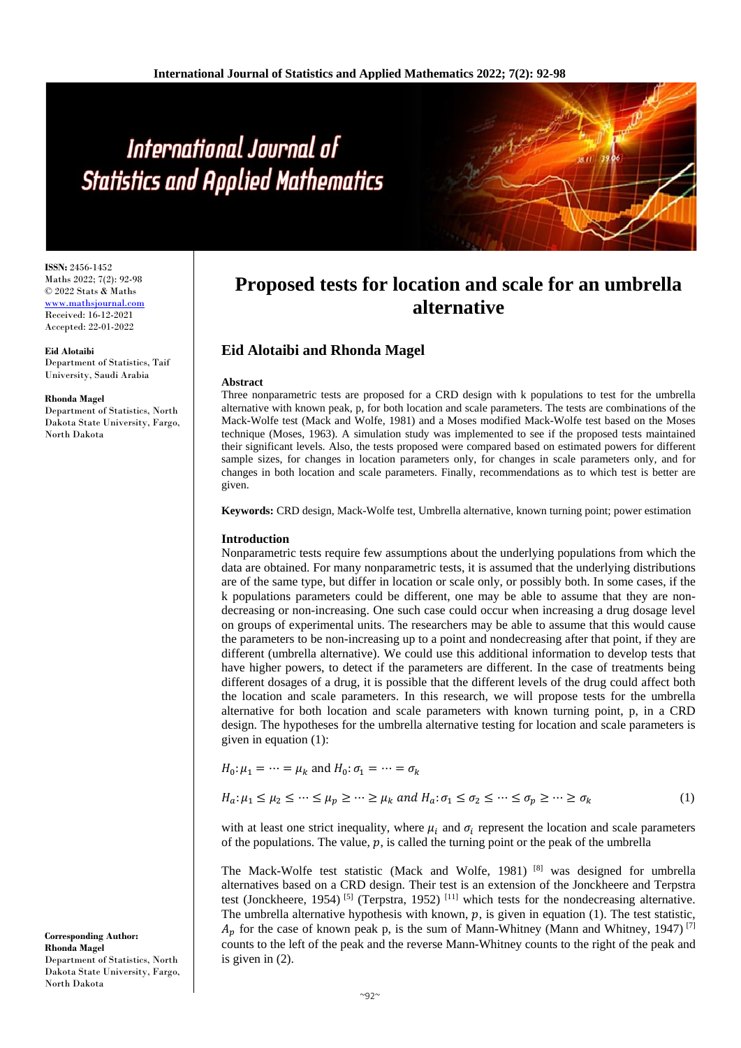# International Journal of **Statistics and Applied Mathematics**

**ISSN:** 2456-1452 Maths 2022; 7(2): 92-98 © 2022 Stats & Maths www.mathsjournal.com Received: 16-12-2021 Accepted: 22-01-2022

**Eid Alotaibi** Department of Statistics, Taif University, Saudi Arabia

#### **Rhonda Magel**

Department of Statistics, North Dakota State University, Fargo, North Dakota

## **Proposed tests for location and scale for an umbrella alternative**

## **Eid Alotaibi and Rhonda Magel**

#### **Abstract**

Three nonparametric tests are proposed for a CRD design with k populations to test for the umbrella alternative with known peak, p, for both location and scale parameters. The tests are combinations of the Mack-Wolfe test (Mack and Wolfe, 1981) and a Moses modified Mack-Wolfe test based on the Moses technique (Moses, 1963). A simulation study was implemented to see if the proposed tests maintained their significant levels. Also, the tests proposed were compared based on estimated powers for different sample sizes, for changes in location parameters only, for changes in scale parameters only, and for changes in both location and scale parameters. Finally, recommendations as to which test is better are given.

**Keywords:** CRD design, Mack-Wolfe test, Umbrella alternative, known turning point; power estimation

#### **Introduction**

Nonparametric tests require few assumptions about the underlying populations from which the data are obtained. For many nonparametric tests, it is assumed that the underlying distributions are of the same type, but differ in location or scale only, or possibly both. In some cases, if the k populations parameters could be different, one may be able to assume that they are nondecreasing or non-increasing. One such case could occur when increasing a drug dosage level on groups of experimental units. The researchers may be able to assume that this would cause the parameters to be non-increasing up to a point and nondecreasing after that point, if they are different (umbrella alternative). We could use this additional information to develop tests that have higher powers, to detect if the parameters are different. In the case of treatments being different dosages of a drug, it is possible that the different levels of the drug could affect both the location and scale parameters. In this research, we will propose tests for the umbrella alternative for both location and scale parameters with known turning point, p, in a CRD design. The hypotheses for the umbrella alternative testing for location and scale parameters is given in equation (1):

$$
H_0: \mu_1 = \dots = \mu_k \text{ and } H_0: \sigma_1 = \dots = \sigma_k
$$
  

$$
H_a: \mu_1 \le \mu_2 \le \dots \le \mu_p \ge \dots \ge \mu_k \text{ and } H_a: \sigma_1 \le \sigma_2 \le \dots \le \sigma_p \ge \dots \ge \sigma_k
$$
 (1)

with at least one strict inequality, where  $\mu_i$  and  $\sigma_i$  represent the location and scale parameters of the populations. The value,  $p$ , is called the turning point or the peak of the umbrella

The Mack-Wolfe test statistic (Mack and Wolfe, 1981) [8] was designed for umbrella alternatives based on a CRD design. Their test is an extension of the Jonckheere and Terpstra test (Jonckheere, 1954)<sup>[5]</sup> (Terpstra, 1952)<sup>[11]</sup> which tests for the nondecreasing alternative. The umbrella alternative hypothesis with known,  $p$ , is given in equation (1). The test statistic,  $A_n$  for the case of known peak p, is the sum of Mann-Whitney (Mann and Whitney, 1947) [7] counts to the left of the peak and the reverse Mann-Whitney counts to the right of the peak and is given in (2).

**Corresponding Author: Rhonda Magel** Department of Statistics, North Dakota State University, Fargo, North Dakota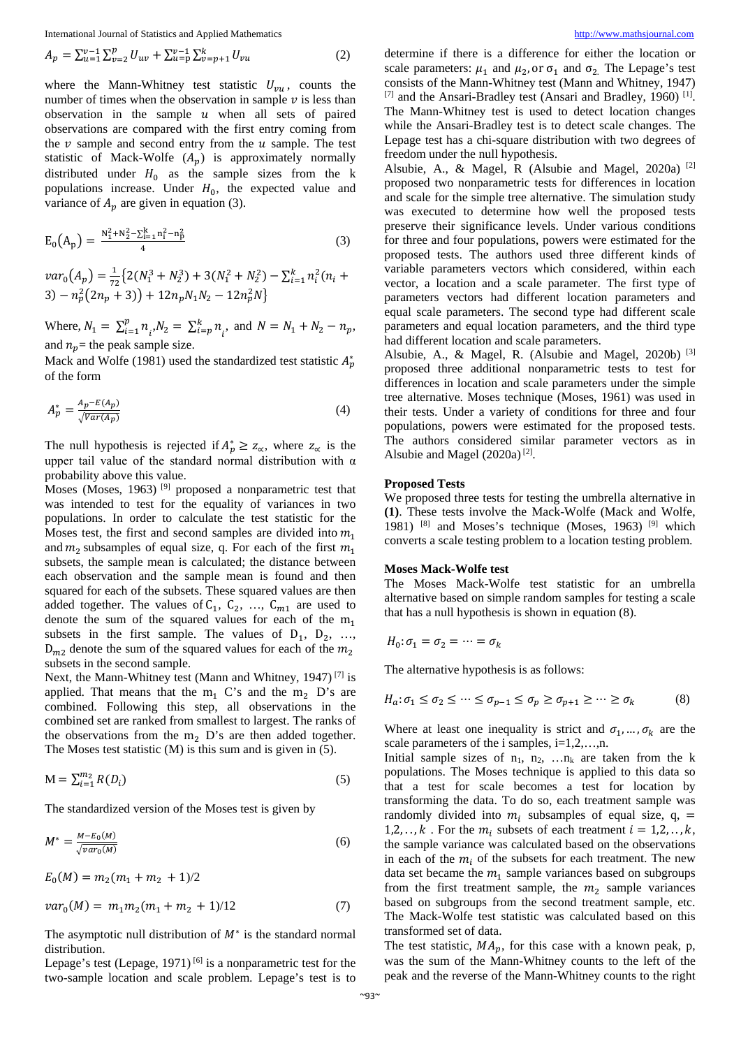$$
A_p = \sum_{u=1}^{v-1} \sum_{v=2}^p U_{uv} + \sum_{u=p}^{v-1} \sum_{v=p+1}^k U_{vu}
$$
 (2)

where the Mann-Whitney test statistic  $U_{vu}$ , counts the number of times when the observation in sample  $\nu$  is less than observation in the sample  $u$  when all sets of paired observations are compared with the first entry coming from the  $\nu$  sample and second entry from the  $\nu$  sample. The test statistic of Mack-Wolfe  $(A_p)$  is approximately normally distributed under  $H_0$  as the sample sizes from the k populations increase. Under  $H_0$ , the expected value and variance of  $A_p$  are given in equation (3).

$$
E_0(A_p) = \frac{N_1^2 + N_2^2 - \sum_{i=1}^k n_i^2 - n_p^2}{4}
$$
 (3)

 $var_0(A_p) = \frac{1}{72} \{2(N_1^3 + N_2^3) + 3(N_1^2 + N_2^2) - \sum_{i=1}^k n_i^2 (n_i +$  $(3) - n_p^2(2n_p + 3) + 12n_pN_1N_2 - 12n_p^2N_1^2$ 

Where,  $N_1 = \sum_{i=1}^{p} n_i N_2 = \sum_{i=p}^{k} n_i$ , and  $N = N_1 + N_2 - n_p$ , and  $n_p$  = the peak sample size.

Mack and Wolfe (1981) used the standardized test statistic  $A_p^*$ of the form

$$
A_p^* = \frac{A_p - E(A_p)}{\sqrt{Var(A_p)}}\tag{4}
$$

The null hypothesis is rejected if  $A_p^* \geq z_\alpha$ , where  $z_\alpha$  is the upper tail value of the standard normal distribution with  $\alpha$ probability above this value.

Moses (Moses, 1963)<sup>[9]</sup> proposed a nonparametric test that was intended to test for the equality of variances in two populations. In order to calculate the test statistic for the Moses test, the first and second samples are divided into  $m_1$ and  $m_2$  subsamples of equal size, q. For each of the first  $m_1$ subsets, the sample mean is calculated; the distance between each observation and the sample mean is found and then squared for each of the subsets. These squared values are then added together. The values of  $C_1$ ,  $C_2$ , ...,  $C_{m1}$  are used to denote the sum of the squared values for each of the  $m_1$ subsets in the first sample. The values of  $D_1$ ,  $D_2$ , ...  $D_{m2}$  denote the sum of the squared values for each of the  $m_2$ subsets in the second sample.

Next, the Mann-Whitney test (Mann and Whitney, 1947) [7] is applied. That means that the  $m_1$  C's and the  $m_2$  D's are combined. Following this step, all observations in the combined set are ranked from smallest to largest. The ranks of the observations from the  $m_2$  D's are then added together. The Moses test statistic (M) is this sum and is given in (5).

$$
\mathbf{M} = \sum_{i=1}^{m_2} R(D_i) \tag{5}
$$

The standardized version of the Moses test is given by

$$
M^* = \frac{M - E_0(M)}{\sqrt{var_0(M)}}
$$
\n<sup>(6)</sup>

$$
E_0(M) = m_2(m_1 + m_2 + 1)/2
$$
  

$$
var_0(M) = m_1 m_2(m_1 + m_2 + 1)/12
$$
 (7)

The asymptotic null distribution of  $M^*$  is the standard normal distribution.

Lepage's test (Lepage, 1971)<sup>[6]</sup> is a nonparametric test for the two-sample location and scale problem. Lepage's test is to

determine if there is a difference for either the location or scale parameters:  $\mu_1$  and  $\mu_2$ , or  $\sigma_1$  and  $\sigma_2$ . The Lepage's test consists of the Mann-Whitney test (Mann and Whitney, 1947)  $^{[7]}$  and the Ansari-Bradley test (Ansari and Bradley, 1960)<sup>[1]</sup>. The Mann-Whitney test is used to detect location changes while the Ansari-Bradley test is to detect scale changes. The Lepage test has a chi-square distribution with two degrees of freedom under the null hypothesis.

Alsubie, A., & Magel, R (Alsubie and Magel, 2020a) [2] proposed two nonparametric tests for differences in location and scale for the simple tree alternative. The simulation study was executed to determine how well the proposed tests preserve their significance levels. Under various conditions for three and four populations, powers were estimated for the proposed tests. The authors used three different kinds of variable parameters vectors which considered, within each vector, a location and a scale parameter. The first type of parameters vectors had different location parameters and equal scale parameters. The second type had different scale parameters and equal location parameters, and the third type had different location and scale parameters.

Alsubie, A., & Magel, R. (Alsubie and Magel, 2020b) [3] proposed three additional nonparametric tests to test for differences in location and scale parameters under the simple tree alternative. Moses technique (Moses, 1961) was used in their tests. Under a variety of conditions for three and four populations, powers were estimated for the proposed tests. The authors considered similar parameter vectors as in Alsubie and Magel  $(2020a)^{[2]}$ .

#### **Proposed Tests**

We proposed three tests for testing the umbrella alternative in **(1)**. These tests involve the Mack-Wolfe (Mack and Wolfe, 1981)  $[8]$  and Moses's technique (Moses, 1963)  $[9]$  which converts a scale testing problem to a location testing problem.

#### **Moses Mack-Wolfe test**

The Moses Mack-Wolfe test statistic for an umbrella alternative based on simple random samples for testing a scale that has a null hypothesis is shown in equation (8).

$$
H_0: \sigma_1 = \sigma_2 = \dots = \sigma_k
$$

The alternative hypothesis is as follows:

$$
H_a: \sigma_1 \le \sigma_2 \le \cdots \le \sigma_{p-1} \le \sigma_p \ge \sigma_{p+1} \ge \cdots \ge \sigma_k \tag{8}
$$

Where at least one inequality is strict and  $\sigma_1, \ldots, \sigma_k$  are the scale parameters of the i samples,  $i=1,2,...,n$ .

Initial sample sizes of  $n_1$ ,  $n_2$ , ...,  $n_k$  are taken from the k populations. The Moses technique is applied to this data so that a test for scale becomes a test for location by transforming the data. To do so, each treatment sample was randomly divided into  $m_i$  subsamples of equal size, q, = 1,2,.., k. For the  $m_i$  subsets of each treatment  $i = 1,2,\ldots,k$ , the sample variance was calculated based on the observations in each of the  $m_i$  of the subsets for each treatment. The new data set became the  $m_1$  sample variances based on subgroups from the first treatment sample, the  $m_2$  sample variances based on subgroups from the second treatment sample, etc. The Mack-Wolfe test statistic was calculated based on this transformed set of data.

The test statistic,  $MA_n$ , for this case with a known peak, p, was the sum of the Mann-Whitney counts to the left of the peak and the reverse of the Mann-Whitney counts to the right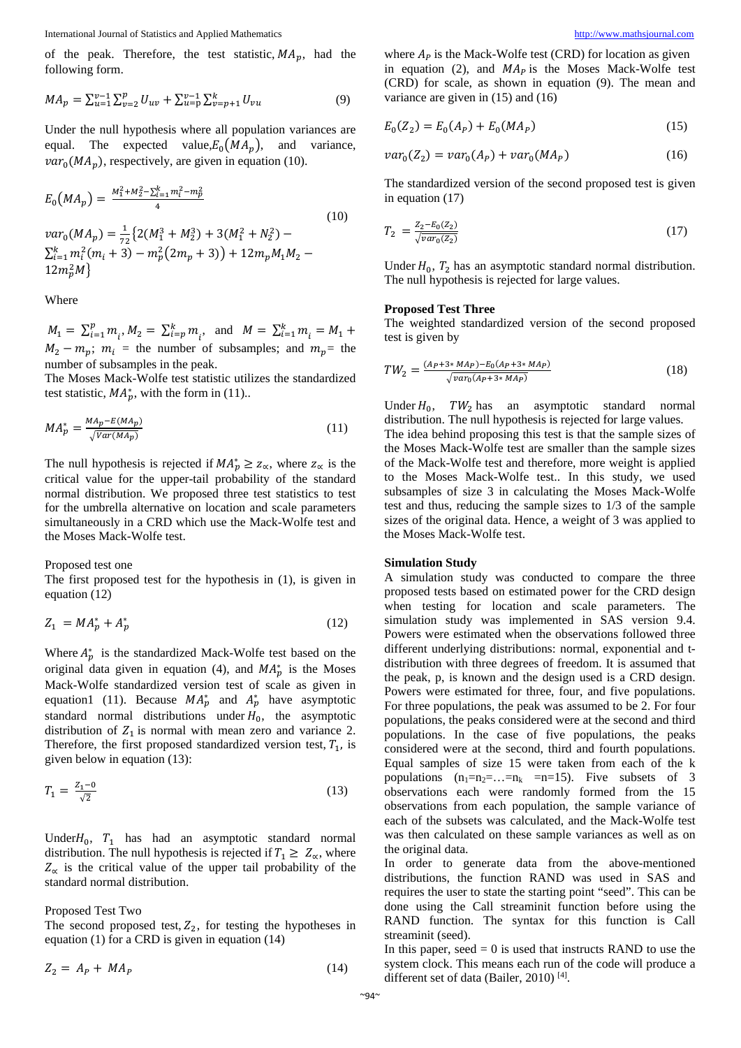of the peak. Therefore, the test statistic,  $MA_p$ , had the following form.

$$
MA_p = \sum_{u=1}^{v-1} \sum_{v=2}^p U_{uv} + \sum_{u=p}^{v-1} \sum_{v=p+1}^k U_{vu}
$$
 (9)

Under the null hypothesis where all population variances are equal. The expected value, $E_0(MA_p)$ , and variance,  $var_0(MA_n)$ , respectively, are given in equation (10).

$$
E_0(MA_p) = \frac{M_1^2 + M_2^2 - \sum_{i=1}^k m_i^2 - m_p^2}{4}
$$
  
\n
$$
var_0(MA_p) = \frac{1}{72} \{2(M_1^3 + M_2^3) + 3(M_1^2 + N_2^2) - \sum_{i=1}^k m_i^2 (m_i + 3) - m_p^2 (2m_p + 3)\} + 12m_p M_1 M_2 - 12m_p^2 M\}
$$
\n(10)

Where

 $M_1 = \sum_{i=1}^p m_i, M_2 = \sum_{i=p}^k m_i, \text{ and } M = \sum_{i=1}^k m_i = M_1 +$  $M_2 - m_p$ ;  $m_i$  = the number of subsamples; and  $m_p$  = the number of subsamples in the peak.

The Moses Mack-Wolfe test statistic utilizes the standardized test statistic,  $MA_p^*$ , with the form in (11)..

$$
MA_p^* = \frac{MA_p - E(MA_p)}{\sqrt{Var(MA_p)}}\tag{11}
$$

The null hypothesis is rejected if  $MA_p^* \geq z_\alpha$ , where  $z_\alpha$  is the critical value for the upper-tail probability of the standard normal distribution. We proposed three test statistics to test for the umbrella alternative on location and scale parameters simultaneously in a CRD which use the Mack-Wolfe test and the Moses Mack-Wolfe test.

Proposed test one

The first proposed test for the hypothesis in (1), is given in equation (12)

$$
Z_1 = MA_p^* + A_p^* \tag{12}
$$

Where  $A_p^*$  is the standardized Mack-Wolfe test based on the original data given in equation (4), and  $MA_p^*$  is the Moses Mack-Wolfe standardized version test of scale as given in equation1 (11). Because  $MA_p^*$  and  $A_p^*$  have asymptotic standard normal distributions under  $H_0$ , the asymptotic distribution of  $Z_1$  is normal with mean zero and variance 2. Therefore, the first proposed standardized version test,  $T_1$ , is given below in equation (13):

$$
T_1 = \frac{Z_1 - 0}{\sqrt{2}}\tag{13}
$$

Under $H_0$ ,  $T_1$  has had an asymptotic standard normal distribution. The null hypothesis is rejected if  $T_1 \geq Z_{\alpha}$ , where  $Z_{\alpha}$  is the critical value of the upper tail probability of the standard normal distribution.

Proposed Test Two

The second proposed test,  $Z_2$ , for testing the hypotheses in equation (1) for a CRD is given in equation (14)

$$
Z_2 = A_P + MA_P \tag{14}
$$

where  $A<sub>p</sub>$  is the Mack-Wolfe test (CRD) for location as given in equation (2), and  $MA<sub>p</sub>$  is the Moses Mack-Wolfe test (CRD) for scale, as shown in equation (9). The mean and variance are given in (15) and (16)

$$
E_0(Z_2) = E_0(A_P) + E_0(MA_P)
$$
\n(15)

$$
var_0(Z_2) = var_0(A_P) + var_0(MA_P)
$$
 (16)

The standardized version of the second proposed test is given in equation (17)

$$
T_2 = \frac{Z_2 - E_0(Z_2)}{\sqrt{var_0(Z_2)}}
$$
\n(17)

Under  $H_0$ ,  $T_2$  has an asymptotic standard normal distribution. The null hypothesis is rejected for large values.

#### **Proposed Test Three**

The weighted standardized version of the second proposed test is given by

$$
TW_2 = \frac{(A_P + 3 * MAP) - E_0(A_P + 3 * MAP)}{\sqrt{var_0(A_P + 3 * MAP)}}
$$
(18)

Under  $H_0$ , TW<sub>2</sub> has an asymptotic standard normal distribution. The null hypothesis is rejected for large values. The idea behind proposing this test is that the sample sizes of the Moses Mack-Wolfe test are smaller than the sample sizes of the Mack-Wolfe test and therefore, more weight is applied to the Moses Mack-Wolfe test.. In this study, we used subsamples of size 3 in calculating the Moses Mack-Wolfe test and thus, reducing the sample sizes to 1/3 of the sample sizes of the original data. Hence, a weight of 3 was applied to the Moses Mack-Wolfe test.

#### **Simulation Study**

A simulation study was conducted to compare the three proposed tests based on estimated power for the CRD design when testing for location and scale parameters. The simulation study was implemented in SAS version 9.4. Powers were estimated when the observations followed three different underlying distributions: normal, exponential and tdistribution with three degrees of freedom. It is assumed that the peak, p, is known and the design used is a CRD design. Powers were estimated for three, four, and five populations. For three populations, the peak was assumed to be 2. For four populations, the peaks considered were at the second and third populations. In the case of five populations, the peaks considered were at the second, third and fourth populations. Equal samples of size 15 were taken from each of the k populations  $(n_1=n_2=...=n_k =n=15)$ . Five subsets of 3 observations each were randomly formed from the 15 observations from each population, the sample variance of each of the subsets was calculated, and the Mack-Wolfe test was then calculated on these sample variances as well as on the original data.

In order to generate data from the above-mentioned distributions, the function RAND was used in SAS and requires the user to state the starting point "seed". This can be done using the Call streaminit function before using the RAND function. The syntax for this function is Call streaminit (seed).

In this paper, seed  $= 0$  is used that instructs RAND to use the system clock. This means each run of the code will produce a different set of data (Bailer, 2010)<sup>[4]</sup>.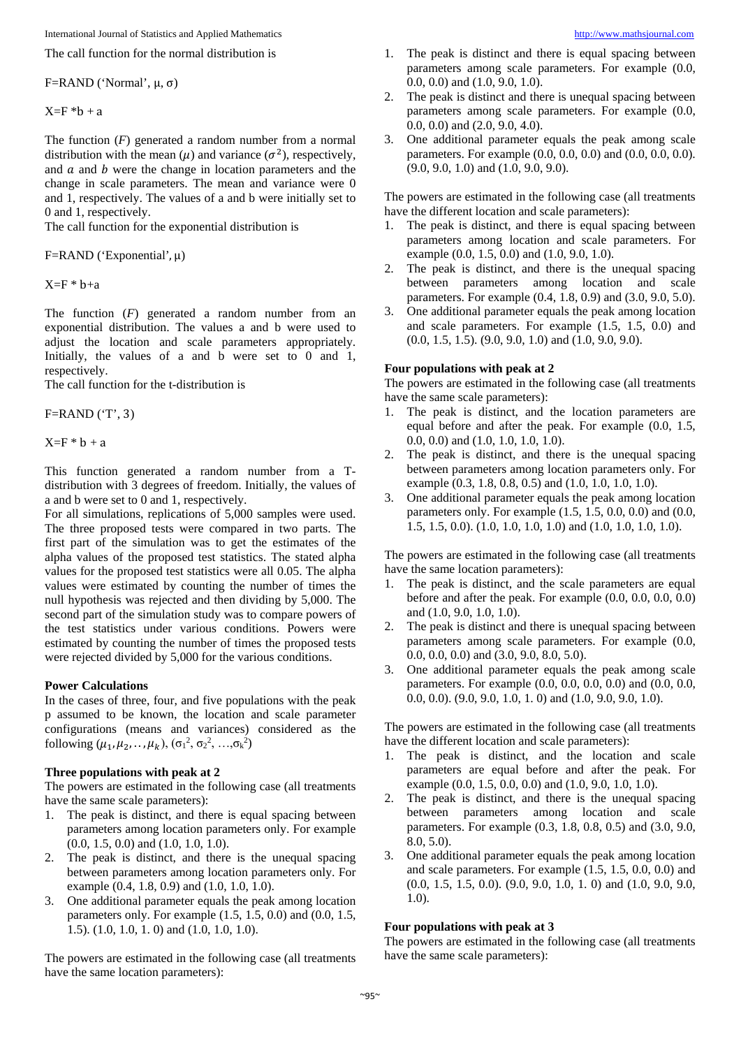The call function for the normal distribution is

F=RAND ('Normal',  $\mu$ , σ)

 $X=F * b + a$ 

The function (*F*) generated a random number from a normal distribution with the mean  $(\mu)$  and variance  $(\sigma^2)$ , respectively, and  $\alpha$  and  $\beta$  were the change in location parameters and the change in scale parameters. The mean and variance were 0 and 1, respectively. The values of a and b were initially set to 0 and 1, respectively.

The call function for the exponential distribution is

F=RAND ('Exponential', μ)

 $X=F * b+a$ 

The function (*F*) generated a random number from an exponential distribution. The values a and b were used to adjust the location and scale parameters appropriately. Initially, the values of a and b were set to 0 and 1, respectively.

The call function for the t-distribution is

 $F=RAND$  ('T', 3)

 $X=F * b + a$ 

This function generated a random number from a Tdistribution with 3 degrees of freedom. Initially, the values of a and b were set to 0 and 1, respectively.

For all simulations, replications of 5,000 samples were used. The three proposed tests were compared in two parts. The first part of the simulation was to get the estimates of the alpha values of the proposed test statistics. The stated alpha values for the proposed test statistics were all 0.05. The alpha values were estimated by counting the number of times the null hypothesis was rejected and then dividing by 5,000. The second part of the simulation study was to compare powers of the test statistics under various conditions. Powers were estimated by counting the number of times the proposed tests were rejected divided by 5,000 for the various conditions.

#### **Power Calculations**

In the cases of three, four, and five populations with the peak p assumed to be known, the location and scale parameter configurations (means and variances) considered as the following  $(\mu_1, \mu_2, ..., \mu_k)$ ,  $(\sigma_1^2, \sigma_2^2, ..., \sigma_k^2)$ 

#### **Three populations with peak at 2**

The powers are estimated in the following case (all treatments have the same scale parameters):

- 1. The peak is distinct, and there is equal spacing between parameters among location parameters only. For example (0.0, 1.5, 0.0) and (1.0, 1.0, 1.0).
- 2. The peak is distinct, and there is the unequal spacing between parameters among location parameters only. For example (0.4, 1.8, 0.9) and (1.0, 1.0, 1.0).
- 3. One additional parameter equals the peak among location parameters only. For example (1.5, 1.5, 0.0) and (0.0, 1.5, 1.5). (1.0, 1.0, 1. 0) and (1.0, 1.0, 1.0).

The powers are estimated in the following case (all treatments have the same location parameters):

- 1. The peak is distinct and there is equal spacing between parameters among scale parameters. For example (0.0, 0.0, 0.0) and (1.0, 9.0, 1.0).
- 2. The peak is distinct and there is unequal spacing between parameters among scale parameters. For example (0.0, 0.0, 0.0) and (2.0, 9.0, 4.0).
- 3. One additional parameter equals the peak among scale parameters. For example (0.0, 0.0, 0.0) and (0.0, 0.0, 0.0). (9.0, 9.0, 1.0) and (1.0, 9.0, 9.0).

The powers are estimated in the following case (all treatments have the different location and scale parameters):

- 1. The peak is distinct, and there is equal spacing between parameters among location and scale parameters. For example (0.0, 1.5, 0.0) and (1.0, 9.0, 1.0).
- 2. The peak is distinct, and there is the unequal spacing between parameters among location and scale parameters. For example (0.4, 1.8, 0.9) and (3.0, 9.0, 5.0).
- 3. One additional parameter equals the peak among location and scale parameters. For example (1.5, 1.5, 0.0) and (0.0, 1.5, 1.5). (9.0, 9.0, 1.0) and (1.0, 9.0, 9.0).

#### **Four populations with peak at 2**

The powers are estimated in the following case (all treatments have the same scale parameters):

- 1. The peak is distinct, and the location parameters are equal before and after the peak. For example (0.0, 1.5, 0.0, 0.0) and (1.0, 1.0, 1.0, 1.0).
- 2. The peak is distinct, and there is the unequal spacing between parameters among location parameters only. For example (0.3, 1.8, 0.8, 0.5) and (1.0, 1.0, 1.0, 1.0).
- 3. One additional parameter equals the peak among location parameters only. For example (1.5, 1.5, 0.0, 0.0) and (0.0, 1.5, 1.5, 0.0). (1.0, 1.0, 1.0, 1.0) and (1.0, 1.0, 1.0, 1.0).

The powers are estimated in the following case (all treatments have the same location parameters):

- 1. The peak is distinct, and the scale parameters are equal before and after the peak. For example (0.0, 0.0, 0.0, 0.0) and (1.0, 9.0, 1.0, 1.0).
- 2. The peak is distinct and there is unequal spacing between parameters among scale parameters. For example (0.0, 0.0, 0.0, 0.0) and (3.0, 9.0, 8.0, 5.0).
- 3. One additional parameter equals the peak among scale parameters. For example (0.0, 0.0, 0.0, 0.0) and (0.0, 0.0, 0.0, 0.0). (9.0, 9.0, 1.0, 1. 0) and (1.0, 9.0, 9.0, 1.0).

The powers are estimated in the following case (all treatments have the different location and scale parameters):

- 1. The peak is distinct, and the location and scale parameters are equal before and after the peak. For example (0.0, 1.5, 0.0, 0.0) and (1.0, 9.0, 1.0, 1.0).
- 2. The peak is distinct, and there is the unequal spacing between parameters among location and scale parameters. For example (0.3, 1.8, 0.8, 0.5) and (3.0, 9.0, 8.0, 5.0).
- 3. One additional parameter equals the peak among location and scale parameters. For example (1.5, 1.5, 0.0, 0.0) and (0.0, 1.5, 1.5, 0.0). (9.0, 9.0, 1.0, 1. 0) and (1.0, 9.0, 9.0, 1.0).

## **Four populations with peak at 3**

The powers are estimated in the following case (all treatments have the same scale parameters):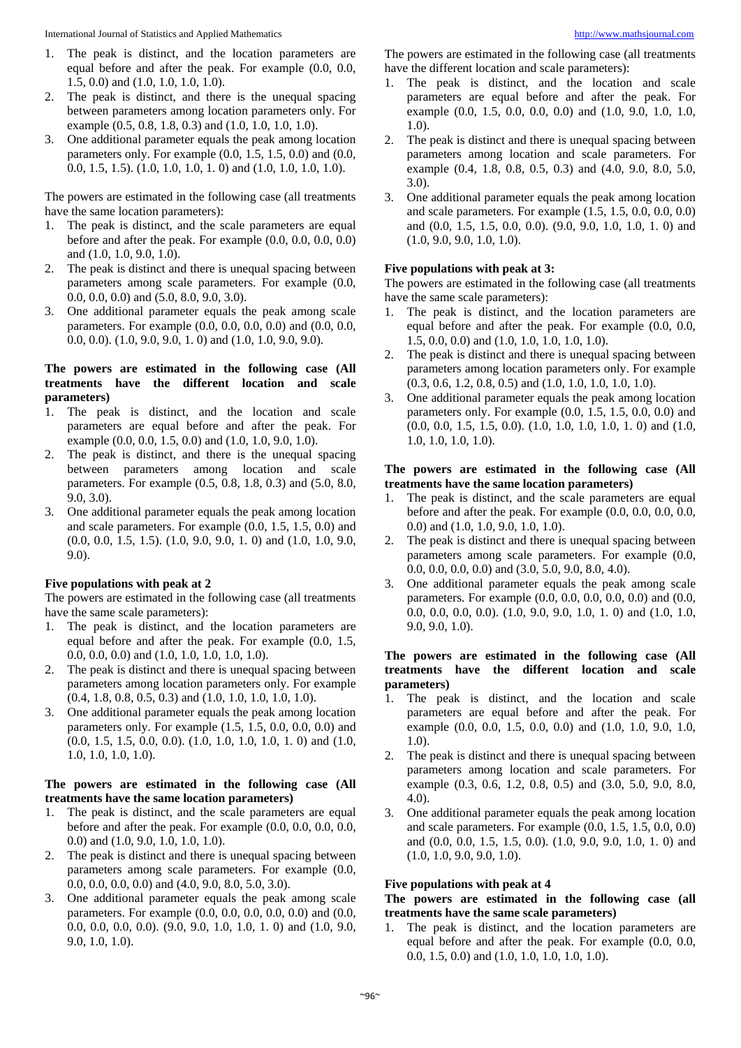- 1. The peak is distinct, and the location parameters are equal before and after the peak. For example (0.0, 0.0, 1.5, 0.0) and (1.0, 1.0, 1.0, 1.0).
- 2. The peak is distinct, and there is the unequal spacing between parameters among location parameters only. For example (0.5, 0.8, 1.8, 0.3) and (1.0, 1.0, 1.0, 1.0).
- 3. One additional parameter equals the peak among location parameters only. For example (0.0, 1.5, 1.5, 0.0) and (0.0, 0.0, 1.5, 1.5). (1.0, 1.0, 1.0, 1. 0) and (1.0, 1.0, 1.0, 1.0).

The powers are estimated in the following case (all treatments have the same location parameters):

- 1. The peak is distinct, and the scale parameters are equal before and after the peak. For example (0.0, 0.0, 0.0, 0.0) and (1.0, 1.0, 9.0, 1.0).
- 2. The peak is distinct and there is unequal spacing between parameters among scale parameters. For example (0.0, 0.0, 0.0, 0.0) and (5.0, 8.0, 9.0, 3.0).
- 3. One additional parameter equals the peak among scale parameters. For example (0.0, 0.0, 0.0, 0.0) and (0.0, 0.0, 0.0, 0.0). (1.0, 9.0, 9.0, 1. 0) and (1.0, 1.0, 9.0, 9.0).

#### **The powers are estimated in the following case (All treatments have the different location and scale parameters)**

- 1. The peak is distinct, and the location and scale parameters are equal before and after the peak. For example (0.0, 0.0, 1.5, 0.0) and (1.0, 1.0, 9.0, 1.0).
- 2. The peak is distinct, and there is the unequal spacing between parameters among location and scale parameters. For example (0.5, 0.8, 1.8, 0.3) and (5.0, 8.0, 9.0, 3.0).
- 3. One additional parameter equals the peak among location and scale parameters. For example (0.0, 1.5, 1.5, 0.0) and (0.0, 0.0, 1.5, 1.5). (1.0, 9.0, 9.0, 1. 0) and (1.0, 1.0, 9.0, 9.0).

## **Five populations with peak at 2**

The powers are estimated in the following case (all treatments have the same scale parameters):

- 1. The peak is distinct, and the location parameters are equal before and after the peak. For example (0.0, 1.5, 0.0, 0.0, 0.0) and (1.0, 1.0, 1.0, 1.0, 1.0).
- 2. The peak is distinct and there is unequal spacing between parameters among location parameters only. For example (0.4, 1.8, 0.8, 0.5, 0.3) and (1.0, 1.0, 1.0, 1.0, 1.0).
- 3. One additional parameter equals the peak among location parameters only. For example (1.5, 1.5, 0.0, 0.0, 0.0) and (0.0, 1.5, 1.5, 0.0, 0.0). (1.0, 1.0, 1.0, 1.0, 1. 0) and (1.0, 1.0, 1.0, 1.0, 1.0).

## **The powers are estimated in the following case (All treatments have the same location parameters)**

- 1. The peak is distinct, and the scale parameters are equal before and after the peak. For example (0.0, 0.0, 0.0, 0.0, 0.0) and (1.0, 9.0, 1.0, 1.0, 1.0).
- 2. The peak is distinct and there is unequal spacing between parameters among scale parameters. For example (0.0, 0.0, 0.0, 0.0, 0.0) and (4.0, 9.0, 8.0, 5.0, 3.0).
- 3. One additional parameter equals the peak among scale parameters. For example (0.0, 0.0, 0.0, 0.0, 0.0) and (0.0, 0.0, 0.0, 0.0, 0.0). (9.0, 9.0, 1.0, 1.0, 1. 0) and (1.0, 9.0, 9.0, 1.0, 1.0).

The powers are estimated in the following case (all treatments have the different location and scale parameters):

- 1. The peak is distinct, and the location and scale parameters are equal before and after the peak. For example (0.0, 1.5, 0.0, 0.0, 0.0) and (1.0, 9.0, 1.0, 1.0, 1.0).
- 2. The peak is distinct and there is unequal spacing between parameters among location and scale parameters. For example (0.4, 1.8, 0.8, 0.5, 0.3) and (4.0, 9.0, 8.0, 5.0, 3.0).
- 3. One additional parameter equals the peak among location and scale parameters. For example (1.5, 1.5, 0.0, 0.0, 0.0) and (0.0, 1.5, 1.5, 0.0, 0.0). (9.0, 9.0, 1.0, 1.0, 1. 0) and (1.0, 9.0, 9.0, 1.0, 1.0).

## **Five populations with peak at 3:**

The powers are estimated in the following case (all treatments have the same scale parameters):

- 1. The peak is distinct, and the location parameters are equal before and after the peak. For example (0.0, 0.0, 1.5, 0.0, 0.0) and (1.0, 1.0, 1.0, 1.0, 1.0).
- 2. The peak is distinct and there is unequal spacing between parameters among location parameters only. For example (0.3, 0.6, 1.2, 0.8, 0.5) and (1.0, 1.0, 1.0, 1.0, 1.0).
- 3. One additional parameter equals the peak among location parameters only. For example (0.0, 1.5, 1.5, 0.0, 0.0) and (0.0, 0.0, 1.5, 1.5, 0.0). (1.0, 1.0, 1.0, 1.0, 1. 0) and (1.0, 1.0, 1.0, 1.0, 1.0).

#### **The powers are estimated in the following case (All treatments have the same location parameters)**

- 1. The peak is distinct, and the scale parameters are equal before and after the peak. For example (0.0, 0.0, 0.0, 0.0, 0.0) and (1.0, 1.0, 9.0, 1.0, 1.0).
- 2. The peak is distinct and there is unequal spacing between parameters among scale parameters. For example (0.0, 0.0, 0.0, 0.0, 0.0) and (3.0, 5.0, 9.0, 8.0, 4.0).
- 3. One additional parameter equals the peak among scale parameters. For example (0.0, 0.0, 0.0, 0.0, 0.0) and (0.0, 0.0, 0.0, 0.0, 0.0). (1.0, 9.0, 9.0, 1.0, 1. 0) and (1.0, 1.0, 9.0, 9.0, 1.0).

#### **The powers are estimated in the following case (All treatments have the different location and scale parameters)**

- 1. The peak is distinct, and the location and scale parameters are equal before and after the peak. For example  $(0.0, 0.0, 1.5, 0.0, 0.0)$  and  $(1.0, 1.0, 9.0, 1.0, 1.0)$ 1.0).
- 2. The peak is distinct and there is unequal spacing between parameters among location and scale parameters. For example (0.3, 0.6, 1.2, 0.8, 0.5) and (3.0, 5.0, 9.0, 8.0, 4.0).
- 3. One additional parameter equals the peak among location and scale parameters. For example (0.0, 1.5, 1.5, 0.0, 0.0) and (0.0, 0.0, 1.5, 1.5, 0.0). (1.0, 9.0, 9.0, 1.0, 1. 0) and (1.0, 1.0, 9.0, 9.0, 1.0).

#### **Five populations with peak at 4**

#### **The powers are estimated in the following case (all treatments have the same scale parameters)**

1. The peak is distinct, and the location parameters are equal before and after the peak. For example (0.0, 0.0, 0.0, 1.5, 0.0) and (1.0, 1.0, 1.0, 1.0, 1.0).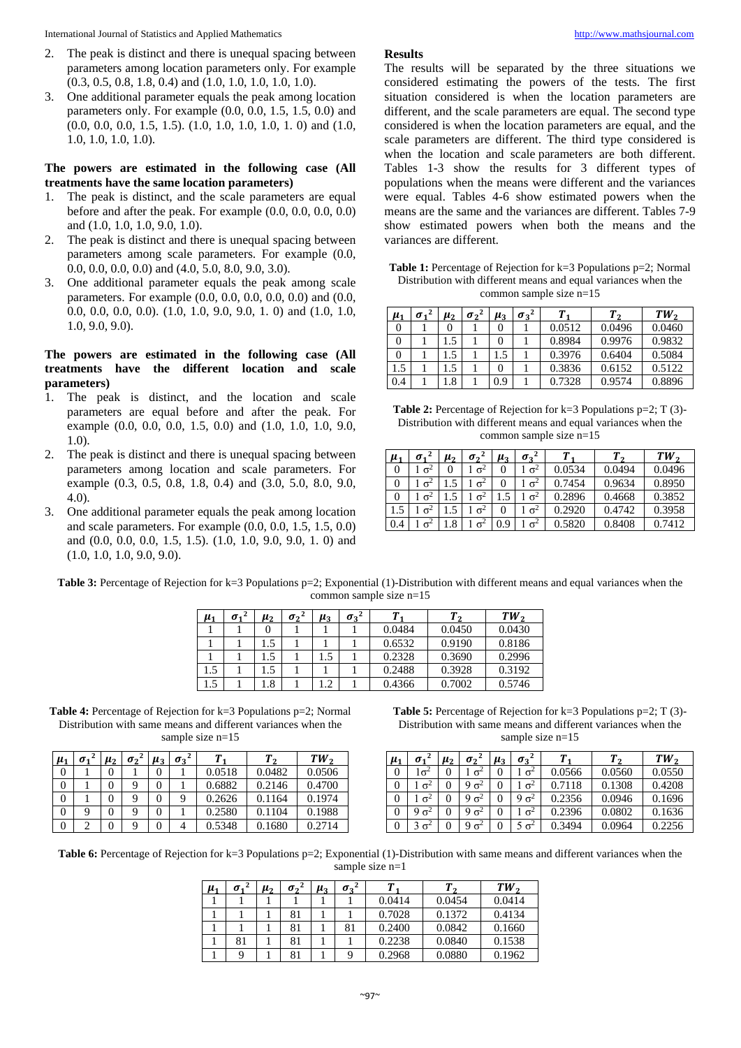- 2. The peak is distinct and there is unequal spacing between parameters among location parameters only. For example (0.3, 0.5, 0.8, 1.8, 0.4) and (1.0, 1.0, 1.0, 1.0, 1.0).
- 3. One additional parameter equals the peak among location parameters only. For example (0.0, 0.0, 1.5, 1.5, 0.0) and (0.0, 0.0, 0.0, 1.5, 1.5). (1.0, 1.0, 1.0, 1.0, 1. 0) and (1.0, 1.0, 1.0, 1.0, 1.0).

## **The powers are estimated in the following case (All treatments have the same location parameters)**

- 1. The peak is distinct, and the scale parameters are equal before and after the peak. For example (0.0, 0.0, 0.0, 0.0) and (1.0, 1.0, 1.0, 9.0, 1.0).
- 2. The peak is distinct and there is unequal spacing between parameters among scale parameters. For example (0.0, 0.0, 0.0, 0.0, 0.0) and (4.0, 5.0, 8.0, 9.0, 3.0).
- 3. One additional parameter equals the peak among scale parameters. For example (0.0, 0.0, 0.0, 0.0, 0.0) and (0.0, 0.0, 0.0, 0.0, 0.0). (1.0, 1.0, 9.0, 9.0, 1. 0) and (1.0, 1.0, 1.0, 9.0, 9.0).

## **The powers are estimated in the following case (All treatments have the different location and scale parameters)**

- 1. The peak is distinct, and the location and scale parameters are equal before and after the peak. For example (0.0, 0.0, 0.0, 1.5, 0.0) and (1.0, 1.0, 1.0, 9.0, 1.0).
- 2. The peak is distinct and there is unequal spacing between parameters among location and scale parameters. For example (0.3, 0.5, 0.8, 1.8, 0.4) and (3.0, 5.0, 8.0, 9.0, 4.0).
- 3. One additional parameter equals the peak among location and scale parameters. For example (0.0, 0.0, 1.5, 1.5, 0.0) and (0.0, 0.0, 0.0, 1.5, 1.5). (1.0, 1.0, 9.0, 9.0, 1. 0) and (1.0, 1.0, 1.0, 9.0, 9.0).

## **Results**

The results will be separated by the three situations we considered estimating the powers of the tests. The first situation considered is when the location parameters are different, and the scale parameters are equal. The second type considered is when the location parameters are equal, and the scale parameters are different. The third type considered is when the location and scale parameters are both different. Tables 1-3 show the results for 3 different types of populations when the means were different and the variances were equal. Tables 4-6 show estimated powers when the means are the same and the variances are different. Tables 7-9 show estimated powers when both the means and the variances are different.

**Table 1:** Percentage of Rejection for k=3 Populations p=2; Normal Distribution with different means and equal variances when the common sample size n=15

| $\mu_1$ | $\sigma_1$ | $\mu_{2}$ | $\sigma_2{}^2$ | $\mu_3$ | $\sigma_3{}^2$ |        | T <sub>2</sub> | TW <sub>2</sub> |
|---------|------------|-----------|----------------|---------|----------------|--------|----------------|-----------------|
|         |            |           |                |         |                | 0.0512 | 0.0496         | 0.0460          |
|         |            | $.5\,$    |                |         |                | 0.8984 | 0.9976         | 0.9832          |
|         |            | $.5\,$    |                | .5      |                | 0.3976 | 0.6404         | 0.5084          |
| 1.5     |            | .5        |                |         |                | 0.3836 | 0.6152         | 0.5122          |
| 0.4     |            | $\cdot$ 8 |                | 0.9     |                | 0.7328 | 0.9574         | 0.8896          |

**Table 2:** Percentage of Rejection for k=3 Populations p=2; T (3)- Distribution with different means and equal variances when the common sample size n=15

| $\mu_1$ | $\sigma_1$ | $\mu_{2}$ | $\sigma$ <sup>2</sup> | $\mu_{3}$ | $\sigma_3{}^2$ | Т      | T <sub>2</sub> | TW,    |
|---------|------------|-----------|-----------------------|-----------|----------------|--------|----------------|--------|
|         | $\sigma^2$ |           | $\sigma^2$            |           | $\sigma^2$     | 0.0534 | 0.0494         | 0.0496 |
|         | $\sigma^2$ |           | $\sigma^2$            |           | $\sigma^2$     | 0.7454 | 0.9634         | 0.8950 |
|         | $\sigma^2$ |           | $\sigma^2$            |           | $\sigma^2$     | 0.2896 | 0.4668         | 0.3852 |
|         | $\sigma^2$ |           | $\sigma^2$            |           | $\sigma^2$     | 0.2920 | 0.4742         | 0.3958 |
| 0.4     | $\sigma^2$ | .8        | $\sigma$              | 0.9       | $\sigma^2$     | 0.5820 | 0.8408         | 0.7412 |

**Table 3:** Percentage of Rejection for k=3 Populations p=2; Exponential (1)-Distribution with different means and equal variances when the common sample size n=15

| $\mu_1$ | $\sigma_1$ | $\mu_{2}$              | $\sigma_2$ <sup>2</sup> | $\mu_3$ | $\sigma_3{}^2$ |        | $\mathbf{\cdot}$ | TW,    |
|---------|------------|------------------------|-------------------------|---------|----------------|--------|------------------|--------|
|         |            |                        |                         |         |                | 0.0484 | 0.0450           | 0.0430 |
|         |            |                        |                         |         |                | 0.6532 | 0.9190           | 0.8186 |
|         |            |                        |                         | .5      |                | 0.2328 | 0.3690           | 0.2996 |
|         |            |                        |                         |         |                | 0.2488 | 0.3928           | 0.3192 |
|         |            | $\cdot$ <sup>8</sup> . |                         | .2      |                | 0.4366 | 0.7002           | 0.5746 |

**Table 4:** Percentage of Rejection for k=3 Populations p=2; Normal Distribution with same means and different variances when the sample size n=15

| $\mu_1$ | $\sigma_{1}$ | $\mu_{2}$ | $\sigma$ <sup>2</sup> | $\mu_{3}$ | $\sigma_3^2$ |        |        | TW <sub>2</sub> |
|---------|--------------|-----------|-----------------------|-----------|--------------|--------|--------|-----------------|
|         |              |           |                       |           |              | 0.0518 | 0.0482 | 0.0506          |
|         |              |           |                       |           |              | 0.6882 | 0.2146 | 0.4700          |
|         |              |           |                       |           |              | 0.2626 | 0.1164 | 0.1974          |
|         |              |           |                       |           |              | 0.2580 | 0.1104 | 0.1988          |
|         |              |           |                       |           |              | 0.5348 | 0.1680 | 0.2714          |

**Table 5:** Percentage of Rejection for k=3 Populations p=2; T (3)- Distribution with same means and different variances when the sample size n=15

| $\mu_1$ | σ.         | $\mu_{2}$ | $\sigma$ <sup>2</sup> | $\mu_3$ | $\sigma_3$ <sup>4</sup> |        | Т,     | TW,    |
|---------|------------|-----------|-----------------------|---------|-------------------------|--------|--------|--------|
|         |            |           | $\sigma^2$            |         | $\sigma^2$              | 0.0566 | 0.0560 | 0.0550 |
|         | $\sigma^2$ |           | $\sigma^2$            |         | $\sigma^2$              | 0.7118 | 0.1308 | 0.4208 |
| 0       | $\sigma^2$ |           | $\sigma^2$            |         | $\sigma^2$              | 0.2356 | 0.0946 | 0.1696 |
| O       | $\sigma^2$ |           | $\sigma^2$            | 0       | $\sigma^2$              | 0.2396 | 0.0802 | 0.1636 |
|         | $\sigma^2$ |           | $\sigma^2$            |         | $\sigma^2$              | 0.3494 | 0.0964 | 0.2256 |

Table 6: Percentage of Rejection for k=3 Populations p=2; Exponential (1)-Distribution with same means and different variances when the sample size n=1

| $\mu_1$ | $\sigma_1$ | $\mu_{2}$ | $\sigma_2$ <sup>4</sup> | $\mu_3$ | $\sigma_3{}^2$ | Т      | ◠      | TW <sub>2</sub> |
|---------|------------|-----------|-------------------------|---------|----------------|--------|--------|-----------------|
|         |            |           |                         |         |                | 0.0414 | 0.0454 | 0.0414          |
|         |            |           |                         |         |                | 0.7028 | 0.1372 | 0.4134          |
|         |            |           |                         |         | 81             | 0.2400 | 0.0842 | 0.1660          |
|         | 81         |           |                         |         |                | 0.2238 | 0.0840 | 0.1538          |
|         |            |           |                         |         |                | 0.2968 | 0.0880 | 0.1962          |